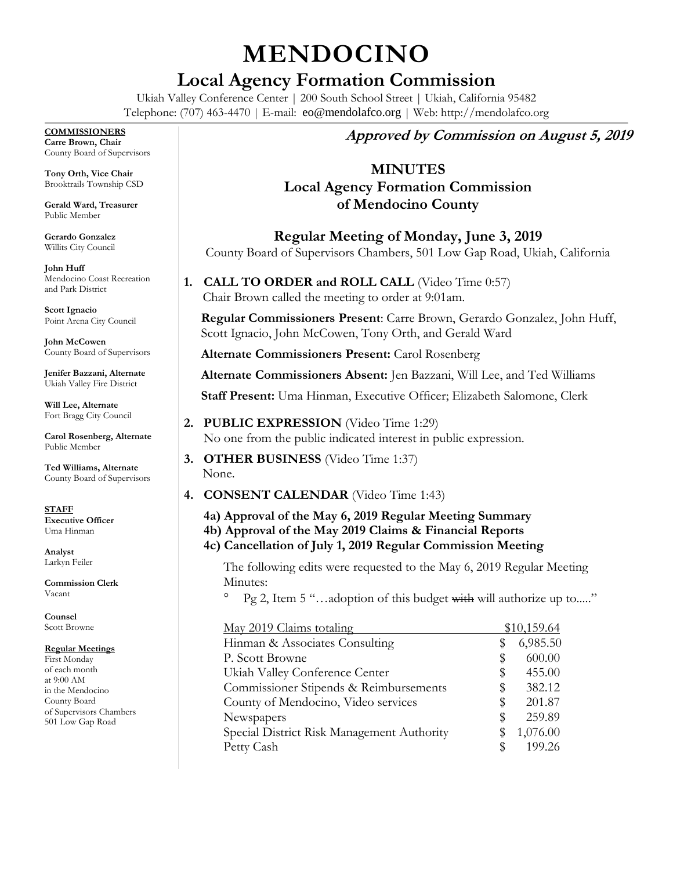# **MENDOCINO**

# **Local Agency Formation Commission**

Ukiah Valley Conference Center | 200 South School Street | Ukiah, California 95482 Telephone: (707) 463-4470 | E-mail: eo@mendolafco.org | Web: http://mendolafco.org

#### **COMMISSIONERS**

**Carre Brown, Chair** County Board of Supervisors

**Tony Orth, Vice Chair** Brooktrails Township CSD

**Gerald Ward, Treasurer** Public Member

**Gerardo Gonzalez** Willits City Council

**John Huff**  Mendocino Coast Recreation and Park District

**Scott Ignacio** Point Arena City Council

**John McCowen** County Board of Supervisors

**Jenifer Bazzani, Alternate** Ukiah Valley Fire District

**Will Lee, Alternate** Fort Bragg City Council

**Carol Rosenberg, Alternate** Public Member

**Ted Williams, Alternate** County Board of Supervisors

**STAFF Executive Officer** Uma Hinman

**Analyst** Larkyn Feiler

**Commission Clerk** Vacant

**Counsel** Scott Browne

#### **Regular Meetings**

First Monday of each month at 9:00 AM in the Mendocino County Board of Supervisors Chambers 501 Low Gap Road

# **Approved by Commission on August 5, 2019**

# **MINUTES**

# **Local Agency Formation Commission of Mendocino County**

**Regular Meeting of Monday, June 3, 2019** County Board of Supervisors Chambers, 501 Low Gap Road, Ukiah, California

**1. CALL TO ORDER and ROLL CALL** (Video Time 0:57) Chair Brown called the meeting to order at 9:01am.

**Regular Commissioners Present**: Carre Brown, Gerardo Gonzalez, John Huff, Scott Ignacio, John McCowen, Tony Orth, and Gerald Ward

**Alternate Commissioners Present:** Carol Rosenberg

**Alternate Commissioners Absent:** Jen Bazzani, Will Lee, and Ted Williams

**Staff Present:** Uma Hinman, Executive Officer; Elizabeth Salomone, Clerk

- **2. PUBLIC EXPRESSION** (Video Time 1:29) No one from the public indicated interest in public expression.
- **3. OTHER BUSINESS** (Video Time 1:37) None.
- **4. CONSENT CALENDAR** (Video Time 1:43)
	- **4a) Approval of the May 6, 2019 Regular Meeting Summary**
	- **4b) Approval of the May 2019 Claims & Financial Reports**
	- **4c) Cancellation of July 1, 2019 Regular Commission Meeting**

The following edits were requested to the May 6, 2019 Regular Meeting Minutes:

 $\degree$  Pg 2, Item 5 "...adoption of this budget with will authorize up to....."

| May 2019 Claims totaling                   |    | \$10,159.64 |
|--------------------------------------------|----|-------------|
| Hinman & Associates Consulting             | S  | 6,985.50    |
| P. Scott Browne                            | S  | 600.00      |
| Ukiah Valley Conference Center             | S  | 455.00      |
| Commissioner Stipends & Reimbursements     | \$ | 382.12      |
| County of Mendocino, Video services        | S  | 201.87      |
| Newspapers                                 | \$ | 259.89      |
| Special District Risk Management Authority | \$ | 1,076.00    |
| Petty Cash                                 | S  | 199.26      |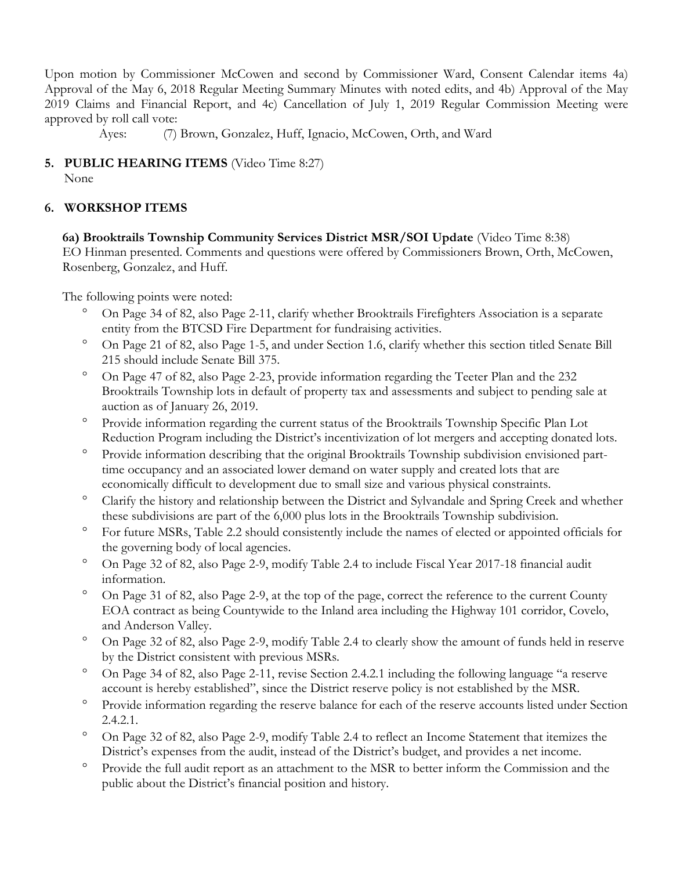Upon motion by Commissioner McCowen and second by Commissioner Ward, Consent Calendar items 4a) Approval of the May 6, 2018 Regular Meeting Summary Minutes with noted edits, and 4b) Approval of the May 2019 Claims and Financial Report, and 4c) Cancellation of July 1, 2019 Regular Commission Meeting were approved by roll call vote:

Ayes: (7) Brown, Gonzalez, Huff, Ignacio, McCowen, Orth, and Ward

# **5. PUBLIC HEARING ITEMS** (Video Time 8:27)

None

# **6. WORKSHOP ITEMS**

#### **6a) Brooktrails Township Community Services District MSR/SOI Update** (Video Time 8:38)

EO Hinman presented. Comments and questions were offered by Commissioners Brown, Orth, McCowen, Rosenberg, Gonzalez, and Huff.

The following points were noted:

- On Page 34 of 82, also Page 2-11, clarify whether Brooktrails Firefighters Association is a separate entity from the BTCSD Fire Department for fundraising activities.
- On Page 21 of 82, also Page 1-5, and under Section 1.6, clarify whether this section titled Senate Bill 215 should include Senate Bill 375.
- On Page 47 of 82, also Page 2-23, provide information regarding the Teeter Plan and the 232 Brooktrails Township lots in default of property tax and assessments and subject to pending sale at auction as of January 26, 2019.
- <sup>o</sup> Provide information regarding the current status of the Brooktrails Township Specific Plan Lot Reduction Program including the District's incentivization of lot mergers and accepting donated lots.
- <sup>o</sup> Provide information describing that the original Brooktrails Township subdivision envisioned parttime occupancy and an associated lower demand on water supply and created lots that are economically difficult to development due to small size and various physical constraints.
- Clarify the history and relationship between the District and Sylvandale and Spring Creek and whether these subdivisions are part of the 6,000 plus lots in the Brooktrails Township subdivision.
- <sup>o</sup> For future MSRs, Table 2.2 should consistently include the names of elected or appointed officials for the governing body of local agencies.
- On Page 32 of 82, also Page 2-9, modify Table 2.4 to include Fiscal Year 2017-18 financial audit information.
- <sup>o</sup> On Page 31 of 82, also Page 2-9, at the top of the page, correct the reference to the current County EOA contract as being Countywide to the Inland area including the Highway 101 corridor, Covelo, and Anderson Valley.
- On Page 32 of 82, also Page 2-9, modify Table 2.4 to clearly show the amount of funds held in reserve by the District consistent with previous MSRs.
- On Page 34 of 82, also Page 2-11, revise Section 2.4.2.1 including the following language "a reserve account is hereby established", since the District reserve policy is not established by the MSR.
- Provide information regarding the reserve balance for each of the reserve accounts listed under Section 2.4.2.1.
- On Page 32 of 82, also Page 2-9, modify Table 2.4 to reflect an Income Statement that itemizes the District's expenses from the audit, instead of the District's budget, and provides a net income.
- <sup>o</sup> Provide the full audit report as an attachment to the MSR to better inform the Commission and the public about the District's financial position and history.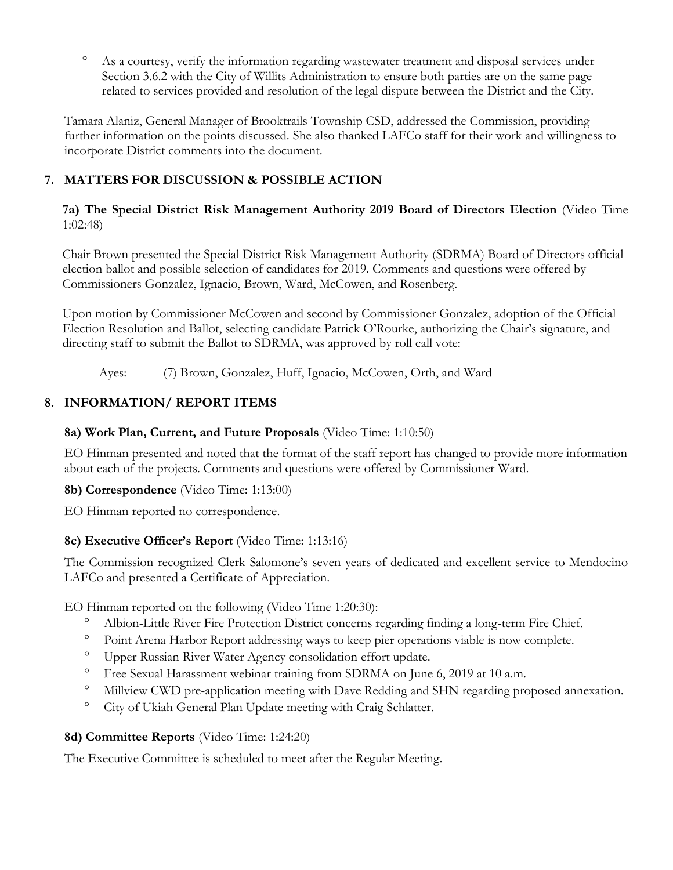<sup>o</sup> As a courtesy, verify the information regarding wastewater treatment and disposal services under Section 3.6.2 with the City of Willits Administration to ensure both parties are on the same page related to services provided and resolution of the legal dispute between the District and the City.

Tamara Alaniz, General Manager of Brooktrails Township CSD, addressed the Commission, providing further information on the points discussed. She also thanked LAFCo staff for their work and willingness to incorporate District comments into the document.

# **7. MATTERS FOR DISCUSSION & POSSIBLE ACTION**

## **7a) The Special District Risk Management Authority 2019 Board of Directors Election** (Video Time 1:02:48)

Chair Brown presented the Special District Risk Management Authority (SDRMA) Board of Directors official election ballot and possible selection of candidates for 2019. Comments and questions were offered by Commissioners Gonzalez, Ignacio, Brown, Ward, McCowen, and Rosenberg.

Upon motion by Commissioner McCowen and second by Commissioner Gonzalez, adoption of the Official Election Resolution and Ballot, selecting candidate Patrick O'Rourke, authorizing the Chair's signature, and directing staff to submit the Ballot to SDRMA, was approved by roll call vote:

Ayes: (7) Brown, Gonzalez, Huff, Ignacio, McCowen, Orth, and Ward

# **8. INFORMATION/ REPORT ITEMS**

# **8a) Work Plan, Current, and Future Proposals** (Video Time: 1:10:50)

EO Hinman presented and noted that the format of the staff report has changed to provide more information about each of the projects. Comments and questions were offered by Commissioner Ward.

## **8b) Correspondence** (Video Time: 1:13:00)

EO Hinman reported no correspondence.

## **8c) Executive Officer's Report** (Video Time: 1:13:16)

The Commission recognized Clerk Salomone's seven years of dedicated and excellent service to Mendocino LAFCo and presented a Certificate of Appreciation.

EO Hinman reported on the following (Video Time 1:20:30):

- Albion-Little River Fire Protection District concerns regarding finding a long-term Fire Chief.
- <sup>o</sup> Point Arena Harbor Report addressing ways to keep pier operations viable is now complete.
- Upper Russian River Water Agency consolidation effort update.
- <sup>o</sup> Free Sexual Harassment webinar training from SDRMA on June 6, 2019 at 10 a.m.
- Millview CWD pre-application meeting with Dave Redding and SHN regarding proposed annexation.
- <sup>o</sup> City of Ukiah General Plan Update meeting with Craig Schlatter.

## **8d) Committee Reports** (Video Time: 1:24:20)

The Executive Committee is scheduled to meet after the Regular Meeting.